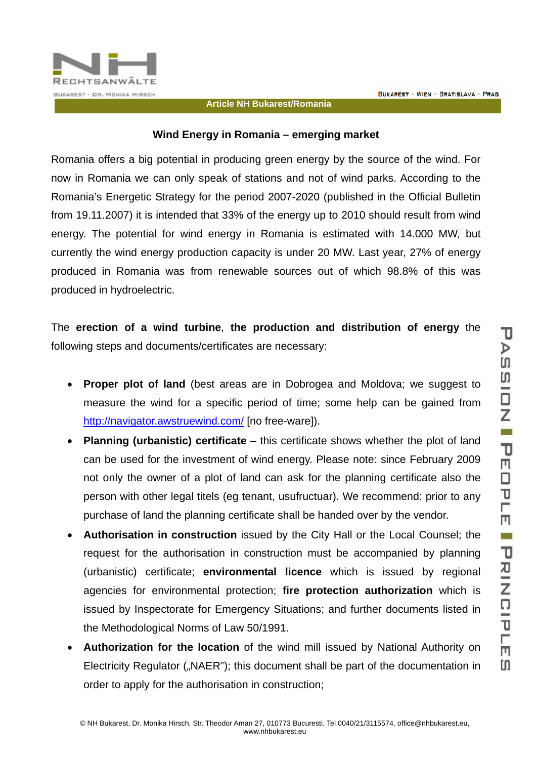

## **Article NH Bukarest/Romania**

## **Wind Energy in Romania – emerging market**

Romania offers a big potential in producing green energy by the source of the wind. For now in Romania we can only speak of stations and not of wind parks. According to the Romania's Energetic Strategy for the period 2007-2020 (published in the Official Bulletin from 19.11.2007) it is intended that 33% of the energy up to 2010 should result from wind energy. The potential for wind energy in Romania is estimated with 14.000 MW, but currently the wind energy production capacity is under 20 MW. Last year, 27% of energy produced in Romania was from renewable sources out of which 98.8% of this was produced in hydroelectric.

The **erection of a wind turbine**, **the production and distribution of energy** the following steps and documents/certificates are necessary:

- **Proper plot of land** (best areas are in Dobrogea and Moldova; we suggest to measure the wind for a specific period of time; some help can be gained from http://navigator.awstruewind.com/ [no free-ware]).
- **Planning (urbanistic) certificate** this certificate shows whether the plot of land can be used for the investment of wind energy. Please note: since February 2009 not only the owner of a plot of land can ask for the planning certificate also the person with other legal titels (eg tenant, usufructuar). We recommend: prior to any purchase of land the planning certificate shall be handed over by the vendor.
- **Authorisation in construction** issued by the City Hall or the Local Counsel; the request for the authorisation in construction must be accompanied by planning (urbanistic) certificate; **environmental licence** which is issued by regional agencies for environmental protection; **fire protection authorization** which is issued by Inspectorate for Emergency Situations; and further documents listed in the Methodological Norms of Law 50/1991.
- **Authorization for the location** of the wind mill issued by National Authority on Electricity Regulator ("NAER"); this document shall be part of the documentation in order to apply for the authorisation in construction;